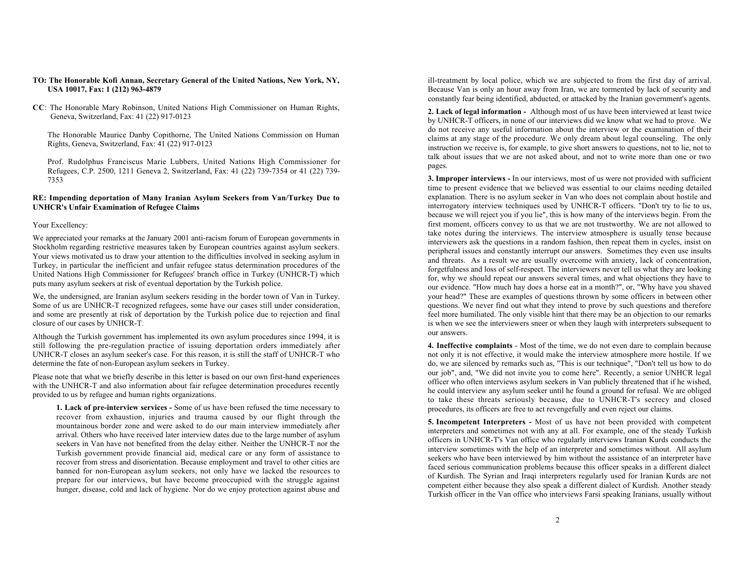- **TO: The Honorable Kofi Annan, Secretary General of the United Nations, New York, NY, USA 10017, Fax: 1 (212) 963-4879**
- **CC**: The Honorable Mary Robinson, United Nations High Commissioner on Human Rights, Geneva, Switzerland, Fax: 41 (22) 917-0123

The Honorable Maurice Danby Copithorne, The United Nations Commission on Human Rights, Geneva, Switzerland, Fax: 41 (22) 917-0123

Prof. Rudolphus Franciscus Marie Lubbers, United Nations High Commissioner for Refugees, C.P. 2500, 1211 Geneva 2, Switzerland, Fax: 41 (22) 739-7354 or 41 (22) 739- 7353

## **RE: Impending deportation of Many Iranian Asylum Seekers from Van/Turkey Due to UNHCR's Unfair Examination of Refugee Claims**

## Your Excellency:

We appreciated your remarks at the January 2001 anti-racism forum of European governments in Stockholm regarding restrictive measures taken by European countries against asylum seekers. Your views motivated us to draw your attention to the difficulties involved in seeking asylum in Turkey, in particular the inefficient and unfair refugee status determination procedures of the United Nations High Commissioner for Refugees' branch office in Turkey (UNHCR-T) which puts many asylum seekers at risk of eventual deportation by the Turkish police.

We, the undersigned, are Iranian asylum seekers residing in the border town of Van in Turkey. Some of us are UNHCR-T recognized refugees, some have our cases still under consideration, and some are presently at risk of deportation by the Turkish police due to rejection and final closure of our cases by UNHCR-T.

Although the Turkish government has implemented its own asylum procedures since 1994, it is still following the pre-regulation practice of issuing deportation orders immediately after UNHCR-T closes an asylum seeker's case. For this reason, it is still the staff of UNHCR-T who determine the fate of non-European asylum seekers in Turkey.

Please note that what we briefly describe in this letter is based on our own first-hand experiences with the UNHCR-T and also information about fair refugee determination procedures recently provided to us by refugee and human rights organizations.

**1. Lack of pre-interview services -** Some of us have been refused the time necessary to recover from exhaustion, injuries and trauma caused by our flight through the mountainous border zone and were asked to do our main interview immediately after arrival. Others who have received later interview dates due to the large number of asylum seekers in Van have not benefited from the delay either. Neither the UNHCR-T nor the Turkish government provide financial aid, medical care or any form of assistance to recover from stress and disorientation. Because employment and travel to other cities are banned for non-European asylum seekers, not only have we lacked the resources to prepare for our interviews, but have become preoccupied with the struggle against hunger, disease, cold and lack of hygiene. Nor do we enjoy protection against abuse and

ill-treatment by local police, which we are subjected to from the first day of arrival. Because Van is only an hour away from Iran, we are tormented by lack of security and constantly fear being identified, abducted, or attacked by the Iranian government's agents.

**2. Lack of legal information -** Although most of us have been interviewed at least twice by UNHCR-T officers, in none of our interviews did we know what we had to prove. We do not receive any useful information about the interview or the examination of their claims at any stage of the procedure. We only dream about legal counseling. The only instruction we receive is, for example, to give short answers to questions, not to lie, not to talk about issues that we are not asked about, and not to write more than one or two pages.

**3. Improper interviews -** In our interviews, most of us were not provided with sufficient time to present evidence that we believed was essential to our claims needing detailed explanation. There is no asylum seeker in Van who does not complain about hostile and interrogatory interview techniques used by UNHCR-T officers. "Don't try to lie to us, because we will reject you if you lie", this is how many of the interviews begin. From the first moment, officers convey to us that we are not trustworthy. We are not allowed to take notes during the interviews. The interview atmosphere is usually tense because interviewers ask the questions in a random fashion, then repeat them in cycles, insist on peripheral issues and constantly interrupt our answers. Sometimes they even use insults and threats. As a result we are usually overcome with anxiety, lack of concentration, forgetfulness and loss of self-respect. The interviewers never tell us what they are looking for, why we should repeat our answers several times, and what objections they have to our evidence. "How much hay does a horse eat in a month?", or, "Why have you shaved your head?" These are examples of questions thrown by some officers in between other questions. We never find out what they intend to prove by such questions and therefore feel more humiliated. The only visible hint that there may be an objection to our remarks is when we see the interviewers sneer or when they laugh with interpreters subsequent to our answers.

**4. Ineffective complaints** - Most of the time, we do not even dare to complain because not only it is not effective, it would make the interview atmosphere more hostile. If we do, we are silenced by remarks such as, "This is our technique", "Don't tell us how to do our job", and, "We did not invite you to come here". Recently, a senior UNHCR legal officer who often interviews asylum seekers in Van publicly threatened that if he wished, he could interview any asylum seeker until he found a ground for refusal. We are obliged to take these threats seriously because, due to UNHCR-T's secrecy and closed procedures, its officers are free to act revengefully and even reject our claims.

**5. Incompetent Interpreters -** Most of us have not been provided with competent interpreters and sometimes not with any at all. For example, one of the steady Turkish officers in UNHCR-T's Van office who regularly interviews Iranian Kurds conducts the interview sometimes with the help of an interpreter and sometimes without. All asylum seekers who have been interviewed by him without the assistance of an interpreter have faced serious communication problems because this officer speaks in a different dialect of Kurdish. The Syrian and Iraqi interpreters regularly used for Iranian Kurds are not competent either because they also speak a different dialect of Kurdish. Another steady Turkish officer in the Van office who interviews Farsi speaking Iranians, usually without